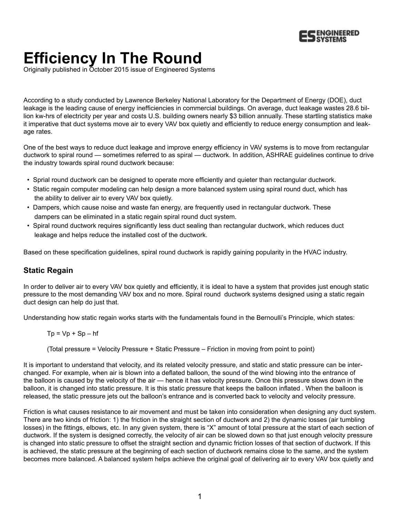

# **Efficiency In The Round**

Originally published in October 2015 issue of Engineered Systems

According to a study conducted by Lawrence Berkeley National Laboratory for the Department of Energy (DOE), duct leakage is the leading cause of energy inefficiencies in commercial buildings. On average, duct leakage wastes 28.6 billion kw-hrs of electricity per year and costs U.S. building owners nearly \$3 billion annually. These startling statistics make it imperative that duct systems move air to every VAV box quietly and efficiently to reduce energy consumption and leakage rates.

One of the best ways to reduce duct leakage and improve energy efficiency in VAV systems is to move from rectangular ductwork to spiral round — sometimes referred to as spiral — ductwork. In addition, ASHRAE guidelines continue to drive the industry towards spiral round ductwork because:

- Sprial round ductwork can be designed to operate more efficiently and quieter than rectangular ductwork.
- Static regain computer modeling can help design a more balanced system using spiral round duct, which has the ability to deliver air to every VAV box quietly.
- Dampers, which cause noise and waste fan energy, are frequently used in rectangular ductwork. These dampers can be eliminated in a static regain spiral round duct system.
- Spiral round ductwork requires significantly less duct sealing than rectangular ductwork, which reduces duct leakage and helps reduce the installed cost of the ductwork.

Based on these specification guidelines, spiral round ductwork is rapidly gaining popularity in the HVAC industry.

### **Static Regain**

In order to deliver air to every VAV box quietly and efficiently, it is ideal to have a system that provides just enough static pressure to the most demanding VAV box and no more. Spiral round ductwork systems designed using a static regain duct design can help do just that.

Understanding how static regain works starts with the fundamentals found in the Bernoulli's Principle, which states:

#### $Tp = Vp + Sp - hf$

(Total pressure = Velocity Pressure + Static Pressure – Friction in moving from point to point)

It is important to understand that velocity, and its related velocity pressure, and static and static pressure can be interchanged. For example, when air is blown into a deflated balloon, the sound of the wind blowing into the entrance of the balloon is caused by the velocity of the air — hence it has velocity pressure. Once this pressure slows down in the balloon, it is changed into static pressure. It is this static pressure that keeps the balloon inflated . When the balloon is released, the static pressure jets out the balloon's entrance and is converted back to velocity and velocity pressure.

Friction is what causes resistance to air movement and must be taken into consideration when designing any duct system. There are two kinds of friction: 1) the friction in the straight section of ductwork and 2) the dynamic losses (air tumbling losses) in the fittings, elbows, etc. In any given system, there is "X" amount of total pressure at the start of each section of ductwork. If the system is designed correctly, the velocity of air can be slowed down so that just enough velocity pressure is changed into static pressure to offset the straight section and dynamic friction losses of that section of ductwork. If this is achieved, the static pressure at the beginning of each section of ductwork remains close to the same, and the system becomes more balanced. A balanced system helps achieve the original goal of delivering air to every VAV box quietly and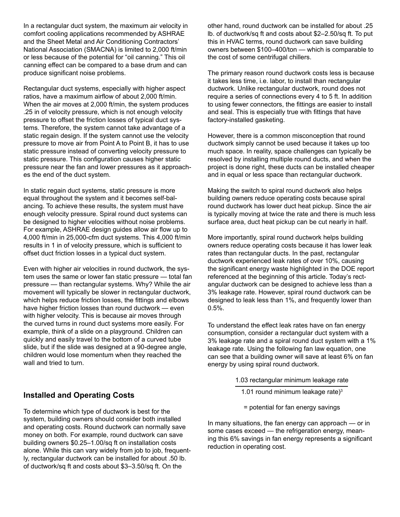In a rectangular duct system, the maximum air velocity in comfort cooling applications recommended by ASHRAE and the Sheet Metal and Air Conditioning Contractors' National Association (SMACNA) is limited to 2,000 ft/min or less because of the potential for "oil canning." This oil canning effect can be compared to a base drum and can produce significant noise problems.

Rectangular duct systems, especially with higher aspect ratios, have a maximum airflow of about 2,000 ft/min. When the air moves at 2,000 ft/min, the system produces .25 in of velocity pressure, which is not enough velocity pressure to offset the friction losses of typical duct systems. Therefore, the system cannot take advantage of a static regain design. If the system cannot use the velocity pressure to move air from Point A to Point B, it has to use static pressure instead of converting velocity pressure to static pressure. This configuration causes higher static pressure near the fan and lower pressures as it approaches the end of the duct system.

In static regain duct systems, static pressure is more equal throughout the system and it becomes self-balancing. To achieve these results, the system must have enough velocity pressure. Spiral round duct systems can be designed to higher velocities without noise problems. For example, ASHRAE design guides allow air flow up to 4,000 ft/min in 25,000-cfm duct systems. This 4,000 ft/min results in 1 in of velocity pressure, which is sufficient to offset duct friction losses in a typical duct system.

Even with higher air velocities in round ductwork, the system uses the same or lower fan static pressure — total fan pressure — than rectangular systems. Why? While the air movement will typically be slower in rectangular ductwork, which helps reduce friction losses, the fittings and elbows have higher friction losses than round ductwork — even with higher velocity. This is because air moves through the curved turns in round duct systems more easily. For example, think of a slide on a playground. Children can quickly and easily travel to the bottom of a curved tube slide, but if the slide was designed at a 90-degree angle, children would lose momentum when they reached the wall and tried to turn.

other hand, round ductwork can be installed for about .25 lb. of ductwork/sq ft and costs about \$2–2.50/sq ft. To put this in HVAC terms, round ductwork can save building owners between \$100–400/ton — which is comparable to the cost of some centrifugal chillers.

The primary reason round ductwork costs less is because it takes less time, i.e. labor, to install than rectangular ductwork. Unlike rectangular ductwork, round does not require a series of connections every 4 to 5 ft. In addition to using fewer connectors, the fittings are easier to install and seal. This is especially true with fittings that have factory-installed gasketing.

However, there is a common misconception that round ductwork simply cannot be used because it takes up too much space. In reality, space challenges can typically be resolved by installing multiple round ducts, and when the project is done right, these ducts can be installed cheaper and in equal or less space than rectangular ductwork.

Making the switch to spiral round ductwork also helps building owners reduce operating costs because spiral round ductwork has lower duct heat pickup. Since the air is typically moving at twice the rate and there is much less surface area, duct heat pickup can be cut nearly in half.

More importantly, spiral round ductwork helps building owners reduce operating costs because it has lower leak rates than rectangular ducts. In the past, rectangular ductwork experienced leak rates of over 10%, causing the significant energy waste highlighted in the DOE report referenced at the beginning of this article. Today's rectangular ductwork can be designed to achieve less than a 3% leakage rate. However, spiral round ductwork can be designed to leak less than 1%, and frequently lower than 0.5%.

To understand the effect leak rates have on fan energy consumption, consider a rectangular duct system with a 3% leakage rate and a spiral round duct system with a 1% leakage rate. Using the following fan law equation, one can see that a building owner will save at least 6% on fan energy by using spiral round ductwork.

- 1.03 rectangular minimum leakage rate
	- 1.01 round minimum leakage rate)<sup>3</sup>
	- = potential for fan energy savings

In many situations, the fan energy can approach — or in some cases exceed — the refrigeration energy, meaning this 6% savings in fan energy represents a significant reduction in operating cost.

# **Installed and Operating Costs**

To determine which type of ductwork is best for the system, building owners should consider both installed and operating costs. Round ductwork can normally save money on both. For example, round ductwork can save building owners \$0.25–1.00/sq ft on installation costs alone. While this can vary widely from job to job, frequently, rectangular ductwork can be installed for about .50 lb. of ductwork/sq ft and costs about \$3–3.50/sq ft. On the